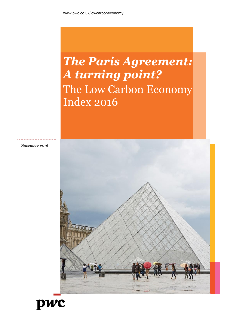# *The Paris Agreement: A turning point?*  The Low Carbon Economy Index 2016

*November 2016*



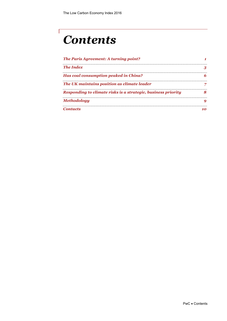# *Contents*

Г

| The Paris Agreement: A turning point?                         |  |  |
|---------------------------------------------------------------|--|--|
| <b>The Index</b>                                              |  |  |
| Has coal consumption peaked in China?                         |  |  |
| The UK maintains position as climate leader                   |  |  |
| Responding to climate risks is a strategic, business priority |  |  |
| <b>Methodology</b>                                            |  |  |
| Contacts                                                      |  |  |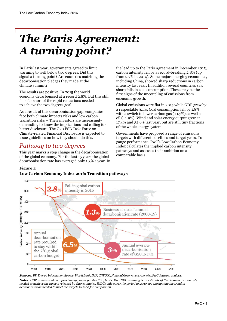## <span id="page-2-0"></span>*The Paris Agreement: A turning point?*

In Paris last year, governments agreed to limit warming to well below two degrees. Did this signal a turning point? Are countries matching the decarbonisation pledges they made at the climate summit?

The results are positive. In 2015 the world economy decarbonised at a record 2.8%. But this still falls far short of the rapid reductions needed to achieve the two degrees goal.

As a result of this decarbonisation gap, companies face both climate impacts risks and low carbon transition risks – Their investors are increasingly demanding to know the implications and calling for better disclosure. The G20 FSB Task Force on Climate-related Financial Disclosure is expected to issue guidelines on how they should do this.

### *Pathway to two degrees*

This year marks a step change in the decarbonisation of the global economy. For the last 15 years the global decarbonisation rate has averaged only 1.3% a year. In

the lead up to the Paris Agreement in December 2015, carbon intensity fell by a record-breaking 2.8% (up from 2.7% in 2014). Some major emerging economies, including China, showed sharp reductions in carbon intensity last year. In addition several countries saw sharp falls in coal consumption. These may be the first signs of the uncoupling of emissions from economic growth.

Global emissions were flat in 2015 while GDP grew by a respectable 3.1%. Coal consumption fell by 1.8%, with a switch to lower carbon gas (+1.7%) as well as oil (+1.9%). Wind and solar energy output grew at 17.4% and 32.6% last year, but are still tiny fractions of the whole energy system.

Governments have proposed a range of emissions targets with different baselines and target years. To gauge performance, PwC's Low Carbon Economy Index calculates the implied carbon intensity pathways and assesses their ambition on a comparable basis.

#### **Figure 1:**

#### **Low Carbon Economy Index 2016: Transition pathways**



*Sources: BP, Energy Information Agency, World Bank, IMF, UNFCCC, National Government Agencies, PwC data and analysis. Notes: GDP is measured on a purchasing power parity (PPP) basis. The INDC pathway is an estimate of the decarbonisation rate needed to achieve the targets released by G20 countries. INDCs only cover the period to 2030, we extrapolate the trend in decarbonisation needed to meet the targets to 2100 for comparison.*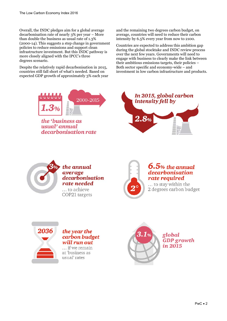Overall, the INDC pledges aim for a global average decarbonisation rate of nearly 3% per year – More than double the business as usual rate of 1.3% (2000-14). This suggests a step change in government policies to reduce emissions and support clean infrastructure investment. But this INDC pathway is more closely aligned with the IPCC's three degrees scenario.

Despite the relatively rapid decarbonisation in 2015, countries still fall short of what's needed. Based on expected GDP growth of approximately 3% each year



the 'business as usual'annual decarbonisation rate and the remaining two degrees carbon budget, on average, countries will need to reduce their carbon intensity by 6.5% every year from now to 2100.

Countries are expected to address this ambition gap during the global stocktake and INDC review process over the next few years. Governments will need to engage with business to clearly make the link between their ambitious emissions targets, their policies – Both sector specific and economy-wide – and investment in low carbon infrastructure and products.





### the annual average decarbonisation rate needed

... to achieve COP21 targets



### $6.5$ % the annual decarbonisation rate required

... to stay within the 2 degrees carbon budget



#### the year the carbon budget will run out

... if we remain at 'business as usual' rates

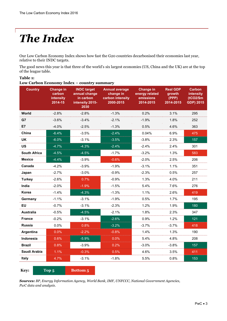# *The Index*

**Table 1:** 

<span id="page-4-0"></span>T

Our Low Carbon Economy Index shows how fast the G20 countries decarbonised their economies last year, relative to their INDC targets.

The good news this year is that three of the world's six largest economies (US, China and the UK) are at the top of the league table.

| Low Carbon Economy Index – country summary |                                                    |                                                                             |                                                                     |                                                              |                                                 |                                                                |  |
|--------------------------------------------|----------------------------------------------------|-----------------------------------------------------------------------------|---------------------------------------------------------------------|--------------------------------------------------------------|-------------------------------------------------|----------------------------------------------------------------|--|
| <b>Country</b>                             | <b>Change in</b><br>carbon<br>intensity<br>2014-15 | <b>INDC target</b><br>annual change<br>in carbon<br>intensity 2015-<br>2030 | <b>Annual average</b><br>change in<br>carbon intensity<br>2000-2015 | <b>Change in</b><br>energy related<br>emissions<br>2014-2015 | <b>Real GDP</b><br>growth<br>(PPP)<br>2014-2015 | <b>Carbon</b><br>intensity<br>$(tCO2/\$m)$<br><b>GDP) 2015</b> |  |
| World                                      | $-2.8%$                                            | $-2.8%$                                                                     | $-1.3%$                                                             | 0.2%                                                         | 3.1%                                            | 295                                                            |  |
| G7                                         | $-3.6%$                                            | $-3.4%$                                                                     | $-2.1%$                                                             | $-1.9%$                                                      | 1.8%                                            | 252                                                            |  |
| E7                                         | $-4.0%$                                            | $-2.5%$                                                                     | $-1.3%$                                                             | 0.5%                                                         | 4.6%                                            | 363                                                            |  |
| China                                      | $-6.4%$                                            | $-3.5%$                                                                     | $-2.4%$                                                             | 0.04%                                                        | 6.9%                                            | 475                                                            |  |
| <b>UK</b>                                  | $-6.0%$                                            | $-3.1%$                                                                     | $-3.5%$                                                             | $-3.8%$                                                      | 2.3%                                            | 157                                                            |  |
| <b>US</b>                                  | $-4.7%$                                            | $-4.3%$                                                                     | $-2.4%$                                                             | $-2.4%$                                                      | 2.4%                                            | 301                                                            |  |
| <b>South Africa</b>                        | $-4.5%$                                            | $-4.5%$                                                                     | $-1.7%$                                                             | $-3.2%$                                                      | 1.3%                                            | 583                                                            |  |
| <b>Mexico</b>                              | $-4.4%$                                            | $-3.9%$                                                                     | $-0.6%$                                                             | $-2.0%$                                                      | 2.5%                                            | 206                                                            |  |
| Canada                                     | $-4.2%$                                            | $-3.9%$                                                                     | $-1.9%$                                                             | $-3.1%$                                                      | 1.1%                                            | 351                                                            |  |
| Japan                                      | $-2.7%$                                            | $-3.0%$                                                                     | $-0.9%$                                                             | $-2.3%$                                                      | 0.5%                                            | 257                                                            |  |
| <b>Turkey</b>                              | $-2.6%$                                            | 0.7%                                                                        | $-0.9%$                                                             | 1.3%                                                         | 4.0%                                            | 211                                                            |  |
| India                                      | $-2.0%$                                            | $-1.9%$                                                                     | $-1.5%$                                                             | 5.4%                                                         | 7.6%                                            | 276                                                            |  |
| Korea                                      | $-1.4%$                                            | $-4.3%$                                                                     | $-1.3%$                                                             | 1.1%                                                         | 2.6%                                            | 419                                                            |  |
| Germany                                    | $-1.1%$                                            | $-3.1%$                                                                     | $-1.9%$                                                             | 0.5%                                                         | 1.7%                                            | 195                                                            |  |
| <b>EU</b>                                  | $-0.7%$                                            | $-3.1%$                                                                     | $-2.3%$                                                             | 1.2%                                                         | 1.9%                                            | 180                                                            |  |
| <b>Australia</b>                           | $-0.5%$                                            | $-4.5%$                                                                     | $-2.1%$                                                             | 1.8%                                                         | 2.3%                                            | 347                                                            |  |
| <b>France</b>                              | $-0.2%$                                            | $-3.1%$                                                                     | $-2.6%$                                                             | 0.9%                                                         | 1.2%                                            | 121                                                            |  |
| <b>Russia</b>                              | 0.0%                                               | 0.8%                                                                        | $-3.2%$                                                             | $-3.7%$                                                      | $-3.7%$                                         | 418                                                            |  |
| Argentina                                  | 0.0%                                               | $-2.2%$                                                                     | $-0.8%$                                                             | 1.4%                                                         | 1.3%                                            | 190                                                            |  |
| Indonesia                                  | 0.6%                                               | $-5.9%$                                                                     | 0.0%                                                                | 5.4%                                                         | 4.8%                                            | 208                                                            |  |
| <b>Brazil</b>                              | 0.8%                                               | $-3.9%$                                                                     | 0.2%                                                                | $-3.0%$                                                      | $-3.8%$                                         | 157                                                            |  |
| Saudi Arabia                               | 1.1%                                               | $-0.3%$                                                                     | 0.5%                                                                | 4.6%                                                         | 3.5%                                            | 411                                                            |  |
| <b>Italy</b>                               | 4.7%                                               | $-3.1%$                                                                     | $-1.8%$                                                             | 5.5%                                                         | 0.8%                                            | 153                                                            |  |
|                                            |                                                    |                                                                             |                                                                     |                                                              |                                                 |                                                                |  |

*Sources: BP, Energy Information Agency, World Bank, IMF, UNFCCC, National Government Agencies,* 

*PwC data and analysis.*

**Key: Top 5 Bottom 5**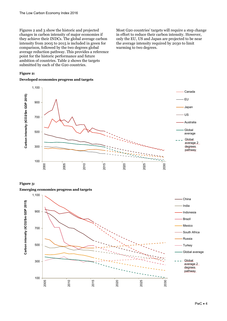Figures 2 and 3 show the historic and projected changes in carbon intensity of major economies if they achieve their INDCs. The global average carbon intensity from 2005 to 2015 is included in green for comparison, followed by the two degrees global average reduction pathway. This provides a reference point for the historic performance and future ambition of countries. Table 2 shows the targets submitted by each of the G20 countries.

**Figure 2:** 

#### **Developed economies progress and targets**

Most G20 countries' targets will require a step change in effort to reduce their carbon intensity. However, only the EU, US and Japan are projected to be near the average intensity required by 2030 to limit warming to two degrees.



#### **Figure 3:**

#### **Emerging economies progress and targets**

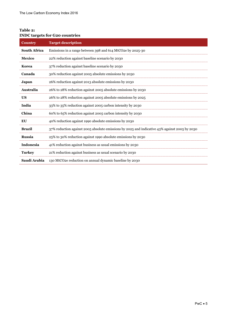#### **Table 2: INDC targets for G20 countries**

| <b>Country</b>      | <b>Target description</b>                                                                     |
|---------------------|-----------------------------------------------------------------------------------------------|
| <b>South Africa</b> | Emissions in a range between 398 and 614 MtCO2e by 2025-30                                    |
| <b>Mexico</b>       | 22% reduction against baseline scenario by 2030                                               |
| Korea               | 37% reduction against baseline scenario by 2030                                               |
| Canada              | 30% reduction against 2005 absolute emissions by 2030                                         |
| Japan               | 26% reduction against 2013 absolute emissions by 2030                                         |
| Australia           | 26% to 28% reduction against 2005 absolute emissions by 2030                                  |
| <b>US</b>           | 26% to 28% reduction against 2005 absolute emissions by 2025                                  |
| India               | 33% to 35% reduction against 2005 carbon intensity by 2030                                    |
| China               | 60% to 65% reduction against 2005 carbon intensity by 2030                                    |
| EU                  | 40% reduction against 1990 absolute emissions by 2030                                         |
| <b>Brazil</b>       | 37% reduction against 2005 absolute emissions by 2025 and indicative 43% against 2005 by 2030 |
| <b>Russia</b>       | 25% to 30% reduction against 1990 absolute emissions by 2030                                  |
| Indonesia           | 41% reduction against business as usual emissions by 2030                                     |
| <b>Turkey</b>       | 21% reduction against business as usual scenario by 2030                                      |
| Saudi Arabia        | 130 MtCO2e reduction on annual dynamic baseline by 2030                                       |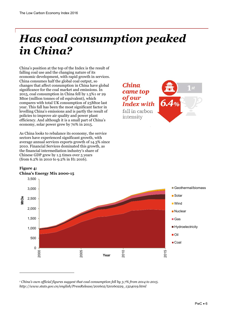## <span id="page-7-0"></span>*Has coal consumption peaked in China?*

China's position at the top of the Index is the result of falling coal use and the changing nature of its economic development, with rapid growth in services. China consumes half the global coal output, so changes that affect consumption in China have global significance for the coal market and emissions. In 2015, coal consumption in China fell by 1.5%1 or 29 Mtoe (million tonnes of oil equivalent), which compares with total UK consumption of 23Mtoe last year. This fall has been the most significant factor in levelling China's emissions and is partly the result of policies to improve air quality and power plant efficiency. And although it is a small part of China's economy, solar power grew by 70% in 2015.

As China looks to rebalance its economy, the service sectors have experienced significant growth, with average annual services exports growth of 14.3% since 2010. Financial Services dominated this growth, as the financial intermediation industry's share of Chinese GDP grew by 1.5 times over 5 years (from 6.2% in 2010 to 9.2% in H1 2016).



#### **Figure 4: China's Energy Mix 2000-15**

-



*<sup>1</sup> China's own official figures suggest that coal consumption fell by 3.7% from 2014 to 2015. http://www.stats.gov.cn/english/PressRelease/201602/t20160229\_1324019.html*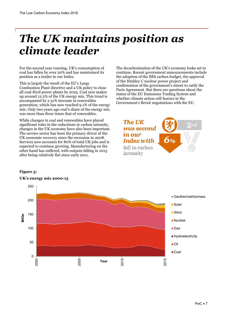## <span id="page-8-0"></span>*The UK maintains position as climate leader*

For the second year running, UK's consumption of coal has fallen by over 20% and has maintained its position as a leader in our Index.

This is largely the result of the EU's Large Combustion Plant directive and a UK policy to close all coal-fired power plants by 2025. Coal now makes up around 12.2% of the UK energy mix. This trend is accompanied by a 31% increase in renewables generation, which has now reached 9.1% of the energy mix. Only two years ago coal's share of the energy mix was more than three times that of renewables.

While changes in coal and renewables have played significant roles in the reductions in carbon intensity, changes in the UK economy have also been important. The service sector has been the primary driver of the UK economic recovery since the recession in 2008. Services now accounts for 80% of total UK jobs and is expected to continue growing. Manufacturing on the other hand has suffered, with outputs falling in 2015 after being relatively flat since early 2011.

The decarbonisation of the UK's economy looks set to continue. Recent government announcements include the adoption of the fifth carbon budget, the approval of the Hinkley C nuclear power project and confirmation of the government's intent to ratify the Paris Agreement. But there are questions about the status of the EU Emissions Trading System and whether climate action will feature in the Government's Brexit negotiations with the EU.



#### **Figure 5:**



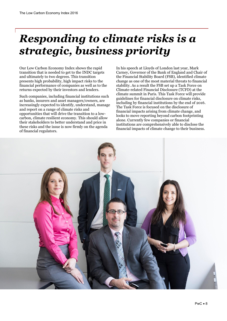## <span id="page-9-0"></span>*Responding to climate risks is a strategic, business priority*

Our Low Carbon Economy Index shows the rapid transition that is needed to get to the INDC targets and ultimately to two degrees. This transition presents high probability, high impact risks to the financial performance of companies as well as to the returns expected by their investors and lenders.

Such companies, including financial institutions such as banks, insurers and asset managers/owners, are increasingly expected to identify, understand, manage and report on a range of climate risks and opportunities that will drive the transition to a lowcarbon, climate resilient economy. This should allow their stakeholders to better understand and price in these risks and the issue is now firmly on the agenda of financial regulators.

In his speech at Lloyds of London last year, Mark Carney, Governor of the Bank of England and Chair of the Financial Stability Board (FSB), identified climate change as one of the most material threats to financial stability. As a result the FSB set up a Task Force on Climate-related Financial Disclosure (TCFD) at the climate summit in Paris. This Task Force will provide guidelines for financial disclosure on climate risks, including by financial institutions by the end of 2016. The Task Force is focused on the disclosure of financial impacts arising from climate change, and looks to move reporting beyond carbon footprinting alone. Currently few companies or financial institutions are comprehensively able to disclose the financial impacts of climate change to their business.

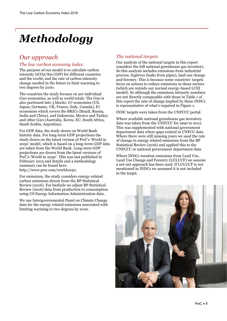# <span id="page-10-0"></span>*Methodology*

### *Our approach*

#### *The low carbon economy index*

The purpose of our model is to calculate carbon intensity (tCO2/\$m GDP) for different countries and the world, and the rate of carbon intensity change needed in the future to limit warming to two degrees by 2100.

The countries the study focuses on are individual G20 economies, as well as world totals. The G20 is also portioned into 3 blocks: G7 economies (US, Japan, Germany, UK, France, Italy, Canada), E7 economies which covers the BRICs (Brazil, Russia, India and China), and Indonesia, Mexico and Turkey and other G20 (Australia, Korea, EU, South Africa, Saudi Arabia, Argentina).

For GDP data, the study draws on World Bank historic data. For long-term GDP projections the study draws on the latest version of PwC's 'World in 2050' model, which is based on a long-term GDP data are taken from the World Bank. Long-term GDP projections are drawn from the latest versions of PwC's 'World in 2050'. This was last published in February 2015 and details and a methodology summary can be found here: http://www.pwc.com/world2050.

For emissions, the study considers energy-related carbon emissions drawn from the BP Statistical Review (2016). For biofuels we adjust BP Statistical Review (2016) data from production to consumption using US Energy Information Administration data.

We use Intergovernmental Panel on Climate Change data for the energy related emissions associated with limiting warming to two degrees by 2100.

#### *The national targets*

Our analysis of the national targets in this report considers the full national greenhouse gas inventory. So this analysis includes emissions from industrial process, fugitives (leaks from pipes), land use change and forestry. This is because some countries' targets focus on actions to reduce emissions in those sectors (which are outside our normal energy-based LCEI model). So although the emissions intensity numbers are not directly comparable with those in Table 1 of this report the rate of change implied by these INDCs is representative of what's required in Figure 1.

INDC targets were taken from the UNFCCC portal.

Where available national greenhouse gas inventory data was taken from the UNFCCC for 1990 to 2012. This was supplemented with national government department data where gaps existed in UNFCC data. Where there were still missing years we used the rate of change in energy related emissions from the BP Statistical Review (2016) and applied this to the UNFCCC or national government department data.

Where INDCs mention emissions from Land Use, Land Use Change and Forestry (LULUCF) we assume a net-net approach has been used. If LULUCF is not mentioned in INDCs we assumed it is not included in the target.